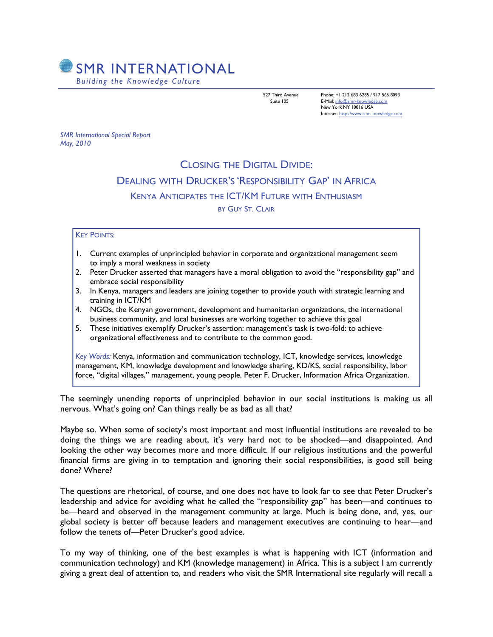

527 Third Avenue Phone: +1 212 683 6285 / 917 566 8093 Suite 105 E-Mail: [info@smr-knowledge.com](mailto:info@smr-knowledge.com) New York NY 10016 USA Internet: <http://www.smr-knowledge.com>

*SMR International Special Report May, 2010* 

## CLOSING THE DIGITAL DIVIDE: DEALING WITH DRUCKER'S 'RESPONSIBILITY GAP' IN AFRICA KENYA ANTICIPATES THE ICT/KM FUTURE WITH ENTHUSIASM BY GUY ST. CLAIR

## KEY POINTS:

- 1. Current examples of unprincipled behavior in corporate and organizational management seem to imply a moral weakness in society
- 2. Peter Drucker asserted that managers have a moral obligation to avoid the "responsibility gap" and embrace social responsibility
- 3. In Kenya, managers and leaders are joining together to provide youth with strategic learning and training in ICT/KM
- 4. NGOs, the Kenyan government, development and humanitarian organizations, the international business community, and local businesses are working together to achieve this goal
- 5. These initiatives exemplify Drucker's assertion: management's task is two-fold: to achieve organizational effectiveness and to contribute to the common good.

*Key Words:* Kenya, information and communication technology, ICT, knowledge services, knowledge management, KM, knowledge development and knowledge sharing, KD/KS, social responsibility, labor force, "digital villages," management, young people, Peter F. Drucker, Information Africa Organization.

The seemingly unending reports of unprincipled behavior in our social institutions is making us all nervous. What's going on? Can things really be as bad as all that?

Maybe so. When some of society's most important and most influential institutions are revealed to be doing the things we are reading about, it's very hard not to be shocked—and disappointed. And looking the other way becomes more and more difficult. If our religious institutions and the powerful financial firms are giving in to temptation and ignoring their social responsibilities, is good still being done? Where?

The questions are rhetorical, of course, and one does not have to look far to see that Peter Drucker's leadership and advice for avoiding what he called the "responsibility gap" has been—and continues to be—heard and observed in the management community at large. Much is being done, and, yes, our global society is better off because leaders and management executives are continuing to hear—and follow the tenets of—Peter Drucker's good advice.

To my way of thinking, one of the best examples is what is happening with ICT (information and communication technology) and KM (knowledge management) in Africa. This is a subject I am currently giving a great deal of attention to, and readers who visit the SMR International site regularly will recall a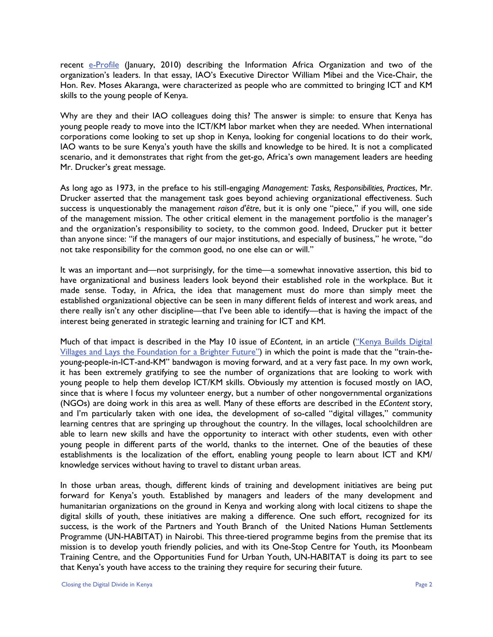recent  $e$ -Profile (January, 2010) describing the Information Africa Organization and two of the organization's leaders. In that essay, IAO's Executive Director William Mibei and the Vice-Chair, the Hon. Rev. Moses Akaranga, were characterized as people who are committed to bringing ICT and KM skills to the young people of Kenya.

Why are they and their IAO colleagues doing this? The answer is simple: to ensure that Kenya has young people ready to move into the ICT/KM labor market when they are needed. When international corporations come looking to set up shop in Kenya, looking for congenial locations to do their work, IAO wants to be sure Kenya's youth have the skills and knowledge to be hired. It is not a complicated scenario, and it demonstrates that right from the get-go, Africa's own management leaders are heeding Mr. Drucker's great message.

As long ago as 1973, in the preface to his still-engaging *Management: Tasks, Responsibilities, Practices*, Mr. Drucker asserted that the management task goes beyond achieving organizational effectiveness. Such success is unquestionably the management *raison d'être*, but it is only one "piece," if you will, one side of the management mission. The other critical element in the management portfolio is the manager's and the organization's responsibility to society, to the common good. Indeed, Drucker put it better than anyone since: "if the managers of our major institutions, and especially of business," he wrote, "do not take responsibility for the common good, no one else can or will."

It was an important and—not surprisingly, for the time—a somewhat innovative assertion, this bid to have organizational and business leaders look beyond their established role in the workplace. But it made sense. Today, in Africa, the idea that management must do more than simply meet the established organizational objective can be seen in many different fields of interest and work areas, and there really isn't any other discipline—that I've been able to identify—that is having the impact of the interest being generated in strategic learning and training for ICT and KM.

Much of that impact is described in the May 10 issue of *EContent*, in an article (["Kenya Builds Digital](http://www.econtentmag.com/Articles/ArticleReader.aspx?ArticleID=66659)  [Villages and Lays the Foundation for a Brighter Future"](http://www.econtentmag.com/Articles/ArticleReader.aspx?ArticleID=66659)) in which the point is made that the "train-theyoung-people-in-ICT-and-KM" bandwagon is moving forward, and at a very fast pace. In my own work, it has been extremely gratifying to see the number of organizations that are looking to work with young people to help them develop ICT/KM skills. Obviously my attention is focused mostly on IAO, since that is where I focus my volunteer energy, but a number of other nongovernmental organizations (NGOs) are doing work in this area as well. Many of these efforts are described in the *EContent* story, and I'm particularly taken with one idea, the development of so-called "digital villages," community learning centres that are springing up throughout the country. In the villages, local schoolchildren are able to learn new skills and have the opportunity to interact with other students, even with other young people in different parts of the world, thanks to the internet. One of the beauties of these establishments is the localization of the effort, enabling young people to learn about ICT and KM/ knowledge services without having to travel to distant urban areas.

In those urban areas, though, different kinds of training and development initiatives are being put forward for Kenya's youth. Established by managers and leaders of the many development and humanitarian organizations on the ground in Kenya and working along with local citizens to shape the digital skills of youth, these initiatives are making a difference. One such effort, recognized for its success, is the work of the Partners and Youth Branch of the United Nations Human Settlements Programme (UN-HABITAT) in Nairobi. This three-tiered programme begins from the premise that its mission is to develop youth friendly policies, and with its One-Stop Centre for Youth, its Moonbeam Training Centre, and the Opportunities Fund for Urban Youth, UN-HABITAT is doing its part to see that Kenya's youth have access to the training they require for securing their future.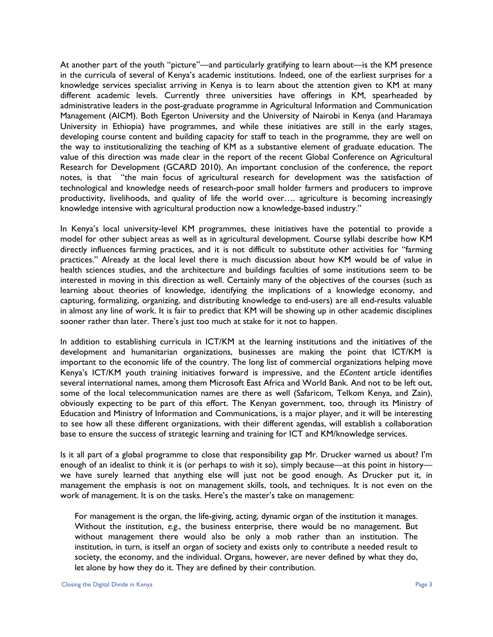At another part of the youth "picture"—and particularly gratifying to learn about—is the KM presence in the curricula of several of Kenya's academic institutions. Indeed, one of the earliest surprises for a knowledge services specialist arriving in Kenya is to learn about the attention given to KM at many different academic levels. Currently three universities have offerings in KM, spearheaded by administrative leaders in the post-graduate programme in Agricultural Information and Communication Management (AICM). Both Egerton University and the University of Nairobi in Kenya (and Haramaya University in Ethiopia) have programmes, and while these initiatives are still in the early stages, developing course content and building capacity for staff to teach in the programme, they are well on the way to institutionalizing the teaching of KM as a substantive element of graduate education. The value of this direction was made clear in the report of the recent Global Conference on Agricultural Research for Development (GCARD 2010). An important conclusion of the conference, the report notes, is that "the main focus of agricultural research for development was the satisfaction of technological and knowledge needs of research-poor small holder farmers and producers to improve productivity, livelihoods, and quality of life the world over…. agriculture is becoming increasingly knowledge intensive with agricultural production now a knowledge-based industry."

In Kenya's local university-level KM programmes, these initiatives have the potential to provide a model for other subject areas as well as in agricultural development. Course syllabi describe how KM directly influences farming practices, and it is not difficult to substitute other activities for "farming practices." Already at the local level there is much discussion about how KM would be of value in health sciences studies, and the architecture and buildings faculties of some institutions seem to be interested in moving in this direction as well. Certainly many of the objectives of the courses (such as learning about theories of knowledge, identifying the implications of a knowledge economy, and capturing, formalizing, organizing, and distributing knowledge to end-users) are all end-results valuable in almost any line of work. It is fair to predict that KM will be showing up in other academic disciplines sooner rather than later. There's just too much at stake for it not to happen.

In addition to establishing curricula in ICT/KM at the learning institutions and the initiatives of the development and humanitarian organizations, businesses are making the point that ICT/KM is important to the economic life of the country. The long list of commercial organizations helping move Kenya's ICT/KM youth training initiatives forward is impressive, and the *EContent* article identifies several international names, among them Microsoft East Africa and World Bank. And not to be left out, some of the local telecommunication names are there as well (Safaricom, Telkom Kenya, and Zain), obviously expecting to be part of this effort. The Kenyan government, too, through its Ministry of Education and Ministry of Information and Communications, is a major player, and it will be interesting to see how all these different organizations, with their different agendas, will establish a collaboration base to ensure the success of strategic learning and training for ICT and KM/knowledge services.

Is it all part of a global programme to close that responsibility gap Mr. Drucker warned us about? I'm enough of an idealist to think it is (or perhaps to *wish* it so), simply because—at this point in history we have surely learned that anything else will just not be good enough. As Drucker put it, in management the emphasis is not on management skills, tools, and techniques. It is not even on the work of management. It is on the tasks. Here's the master's take on management:

For management is the organ, the life-giving, acting, dynamic organ of the institution it manages. Without the institution, *e.g.*, the business enterprise, there would be no management. But without management there would also be only a mob rather than an institution. The institution, in turn, is itself an organ of society and exists only to contribute a needed result to society, the economy, and the individual. Organs, however, are never defined by what they do, let alone by how they do it. They are defined by their contribution.